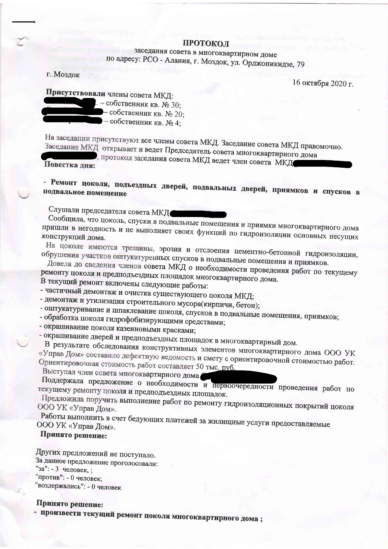## ПРОТОКОЛ

заседания совета в многоквартирном доме по адресу: РСО - Алания, г. Моздок, ул. Орджоникидзе, 79

г. Моздок

16 октября 2020 г.

Присутствовали члены совета МКД:

 $L$  – собственник кв. № 30;

- собственник кв. № 20;

- собственник кв.  $N_2$ 4;

На заседании присутствуют все члены совета МКД. Заседание совета МКД правомочно. Заседание МКД открывает и ведет Председатель совета многоквартирного дома

, протокол заседания совета МКД ведет член совета МКД

Повестка дня:

- Ремонт цоколя, подъездных дверей, подвальных дверей, приямков и спусков в подвальное помещение

Слушали председателя совета МКД

Сообщила, что цоколь, спуски в подвальные помещения и приямки многоквартирного дома пришли в негодность и не выполняет своих функций по гидроизоляции основных несущих конструкций дома.

На цоколе имеются трещины, эрозия и отслоения цементно-бетонной гидроизоляции, обрушения участков оштукатуренных спусков в подвальные помещения и приямков.

Довела до сведения членов совета МКД о необходимости проведения работ по текущему ремонту цоколя и предподъездных площадок многоквартирного дома. В текущий ремонт включены следующие работы:

- частичный демонтаж и очистка существующего цоколя МКД; - демонтаж и утилизация строительного мусора(кирпичи, бетон);

- оштукатуривание и шпаклевание цоколя, спусков в подвальные помещения, приямков; - обработка цоколя гидрофобизирующими средствами;

- окрашивание цоколя казеиновыми красками;

- окрашивание дверей и предподъездных площадок в многоквартирный дом.

В результате обследования конструктивных элементов многоквартирного дома ООО УК «Управ Дом» составило дефектную ведомость и смету с ориентировочной стоимостью работ. Ориентировочная стоимость работ составляет 50 тыс. руб. Выступал член совета многоквартирного дома

Поддержала предложение о необходимости и первоочередности проведения работ по текущему ремонту цоколя и предподъездных площадок.

Предложила поручить выполнение работ по ремонту гидроизоляционных покрытий цоколя ООО УК «Управ Дом».

Работы выполнить в счет бедующих платежей за жилищные услуги предоставляемые ООО УК «Управ Дом».

## Принято рещение:

Других предложений не поступало. За данное предложение проголосовали: "за": - 3 человек, ;

"против": - 0 человек:

"воздержались": - 0 человек

## Принято решение:

- произвести текущий ремонт цоколя многоквартирного дома;